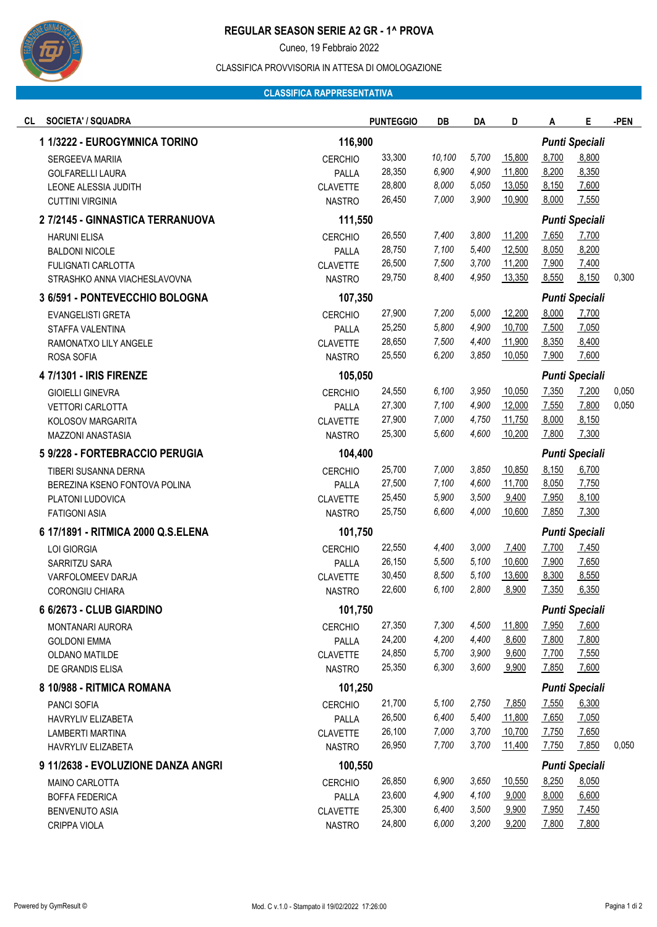

# **REGULAR SEASON SERIE A2 GR - 1^ PROVA**

Cuneo, 19 Febbraio 2022

#### CLASSIFICA PROVVISORIA IN ATTESA DI OMOLOGAZIONE

## **CLASSIFICA RAPPRESENTATIVA**

| <b>SOCIETA' / SQUADRA</b><br>CL    |                 | <b>PUNTEGGIO</b> | DB                    | DA    | D                     | A                     | Е                     | -PEN  |
|------------------------------------|-----------------|------------------|-----------------------|-------|-----------------------|-----------------------|-----------------------|-------|
| 1 1/3222 - EUROGYMNICA TORINO      | 116,900         |                  |                       |       | <b>Punti Speciali</b> |                       |                       |       |
| SERGEEVA MARIIA                    | <b>CERCHIO</b>  | 33,300           | 10,100                | 5,700 | 15,800                | 8,700                 | 8,800                 |       |
| <b>GOLFARELLI LAURA</b>            | PALLA           | 28,350           | 6,900                 | 4,900 | 11,800                | 8,200                 | 8,350                 |       |
| LEONE ALESSIA JUDITH               | <b>CLAVETTE</b> | 28,800           | 8,000                 | 5,050 | 13,050                | 8,150                 | 7,600                 |       |
| <b>CUTTINI VIRGINIA</b>            | <b>NASTRO</b>   | 26,450           | 7,000                 | 3,900 | 10,900                | 8,000                 | 7,550                 |       |
| 2 7/2145 - GINNASTICA TERRANUOVA   | 111,550         |                  |                       |       |                       |                       | <b>Punti Speciali</b> |       |
| <b>HARUNI ELISA</b>                | <b>CERCHIO</b>  | 26,550           | 7,400                 | 3,800 | 11,200                | 7,650                 | 7,700                 |       |
| <b>BALDONI NICOLE</b>              | PALLA           | 28,750           | 7,100                 | 5,400 | 12,500                | 8,050                 | 8,200                 |       |
| <b>FULIGNATI CARLOTTA</b>          | <b>CLAVETTE</b> | 26,500           | 7,500                 | 3,700 | 11,200                | 7,900                 | 7,400                 |       |
| STRASHKO ANNA VIACHESLAVOVNA       | <b>NASTRO</b>   | 29,750           | 8,400                 | 4,950 | 13,350                | 8,550                 | 8,150                 | 0,300 |
| 3 6/591 - PONTEVECCHIO BOLOGNA     | 107,350         |                  |                       |       |                       | <b>Punti Speciali</b> |                       |       |
| EVANGELISTI GRETA                  | <b>CERCHIO</b>  | 27,900           | 7,200                 | 5,000 | 12,200                | 8,000                 | 7,700                 |       |
| STAFFA VALENTINA                   | PALLA           | 25,250           | 5,800                 | 4,900 | 10,700                | 7,500                 | 7,050                 |       |
| RAMONATXO LILY ANGELE              | <b>CLAVETTE</b> | 28,650           | 7,500                 | 4,400 | 11,900                | 8,350                 | 8,400                 |       |
| ROSA SOFIA                         | <b>NASTRO</b>   | 25,550           | 6,200                 | 3,850 | 10,050                | 7,900                 | 7,600                 |       |
| 4 7/1301 - IRIS FIRENZE            | 105,050         |                  | <b>Punti Speciali</b> |       |                       |                       |                       |       |
| <b>GIOIELLI GINEVRA</b>            | <b>CERCHIO</b>  | 24,550           | 6,100                 | 3,950 | 10,050                | 7,350                 | 7,200                 | 0,050 |
| <b>VETTORI CARLOTTA</b>            | PALLA           | 27,300           | 7,100                 | 4,900 | 12,000                | 7,550                 | 7,800                 | 0,050 |
| KOLOSOV MARGARITA                  | <b>CLAVETTE</b> | 27,900           | 7,000                 | 4,750 | 11,750                | 8,000                 | 8,150                 |       |
| MAZZONI ANASTASIA                  | <b>NASTRO</b>   | 25,300           | 5,600                 | 4,600 | 10,200                | 7,800                 | 7,300                 |       |
| 5 9/228 - FORTEBRACCIO PERUGIA     | 104,400         |                  |                       |       |                       |                       | <b>Punti Speciali</b> |       |
| TIBERI SUSANNA DERNA               | <b>CERCHIO</b>  | 25,700           | 7,000                 | 3,850 | 10,850                | 8,150                 | 6,700                 |       |
| BEREZINA KSENO FONTOVA POLINA      | PALLA           | 27,500           | 7,100                 | 4,600 | 11,700                | 8,050                 | 7,750                 |       |
| PLATONI LUDOVICA                   | <b>CLAVETTE</b> | 25,450           | 5,900                 | 3,500 | 9,400                 | 7,950                 | 8,100                 |       |
| <b>FATIGONI ASIA</b>               | <b>NASTRO</b>   | 25,750           | 6,600                 | 4,000 | 10,600                | 7,850                 | 7,300                 |       |
| 6 17/1891 - RITMICA 2000 Q.S.ELENA | 101,750         |                  |                       |       | <b>Punti Speciali</b> |                       |                       |       |
| LOI GIORGIA                        | <b>CERCHIO</b>  | 22,550           | 4,400                 | 3,000 | 7,400                 | 7,700                 | 7,450                 |       |
| SARRITZU SARA                      | PALLA           | 26,150           | 5,500                 | 5,100 | 10,600                | 7,900                 | 7,650                 |       |
| VARFOLOMEEV DARJA                  | <b>CLAVETTE</b> | 30,450           | 8,500                 | 5,100 | 13,600                | 8,300                 | 8,550                 |       |
| <b>CORONGIU CHIARA</b>             | <b>NASTRO</b>   | 22,600           | 6,100                 | 2,800 | 8,900                 | 7,350                 | 6,350                 |       |
| 6 6/2673 - CLUB GIARDINO           | 101,750         |                  |                       |       |                       |                       | <b>Punti Speciali</b> |       |
| MONTANARI AURORA                   | <b>CERCHIO</b>  | 27,350           | 7,300                 | 4,500 | 11,800                | 7,950                 | 7,600                 |       |
| <b>GOLDONI EMMA</b>                | PALLA           | 24,200           | 4,200                 | 4,400 | 8,600                 | 7,800                 | 7,800                 |       |
| OLDANO MATILDE                     | <b>CLAVETTE</b> | 24,850           | 5,700                 | 3,900 | 9,600                 | 7,700                 | 7,550                 |       |
| DE GRANDIS ELISA                   | <b>NASTRO</b>   | 25,350           | 6,300                 | 3,600 | 9,900                 | 7,850                 | 7,600                 |       |
| 8 10/988 - RITMICA ROMANA          | 101,250         |                  |                       |       |                       |                       | <b>Punti Speciali</b> |       |
| <b>PANCI SOFIA</b>                 | <b>CERCHIO</b>  | 21,700           | 5,100                 | 2,750 | 7,850                 | 7,550                 | 6,300                 |       |
| HAVRYLIV ELIZABETA                 | PALLA           | 26,500           | 6,400                 | 5,400 | 11,800                | 7,650                 | 7,050                 |       |
| LAMBERTI MARTINA                   | <b>CLAVETTE</b> | 26,100           | 7,000                 | 3,700 | 10,700                | 7,750                 | 7,650                 |       |
| <b>HAVRYLIV ELIZABETA</b>          | <b>NASTRO</b>   | 26,950           | 7,700                 | 3,700 | 11,400                | 7,750                 | 7,850                 | 0,050 |
| 9 11/2638 - EVOLUZIONE DANZA ANGRI | 100,550         |                  |                       |       |                       | <b>Punti Speciali</b> |                       |       |
| MAINO CARLOTTA                     | <b>CERCHIO</b>  | 26,850           | 6,900                 | 3,650 | 10,550                | 8,250                 | 8,050                 |       |
| <b>BOFFA FEDERICA</b>              | PALLA           | 23,600           | 4,900                 | 4,100 | 9,000                 | 8,000                 | 6,600                 |       |
| <b>BENVENUTO ASIA</b>              | <b>CLAVETTE</b> | 25,300           | 6,400                 | 3,500 | 9,900                 | 7,950                 | 7,450                 |       |
| CRIPPA VIOLA                       | <b>NASTRO</b>   | 24,800           | 6,000                 | 3,200 | 9,200                 | 7,800                 | 7,800                 |       |